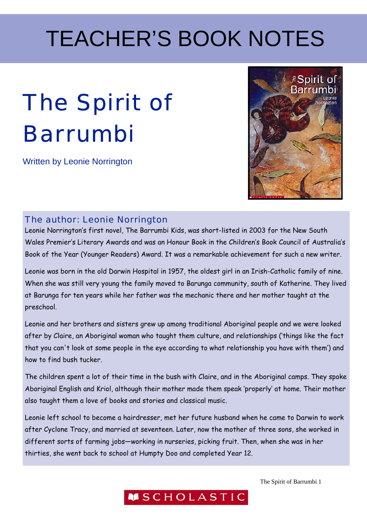# The Spirit of Barrumbi

Written by Leonie Norrington



### The author: Leonie Norrington

Leonie Norrington's first novel, The Barrumbi Kids, was short-listed in 2003 for the New South Wales Premier's Literary Awards and was an Honour Book in the Children's Book Council of Australia's Book of the Year (Younger Readers) Award. It was a remarkable achievement for such a new writer.

Leonie was born in the old Darwin Hospital in 1957, the oldest girl in an Irish-Catholic family of nine. When she was still very young the family moved to Barunga community, south of Katherine. They lived at Barunga for ten years while her father was the mechanic there and her mother taught at the preschool.

Leonie and her brothers and sisters grew up among traditional Aboriginal people and we were looked after by Claire, an Aboriginal woman who taught them culture, and relationships ('things like the fact that you can't look at some people in the eye according to what relationship you have with them') and how to find bush tucker.

The children spent a lot of their time in the bush with Claire, and in the Aboriginal camps. They spoke Aboriginal English and Kriol, although their mother made them speak 'properly' at home. Their mother also taught them a love of books and stories and classical music.

Leonie left school to become a hairdresser, met her future husband when he came to Darwin to work after Cyclone Tracy, and married at seventeen. Later, now the mother of three sons, she worked in different sorts of farming jobs—working in nurseries, picking fruit. Then, when she was in her thirties, she went back to school at Humpty Doo and completed Year 12.

**MSCHOLASTIC**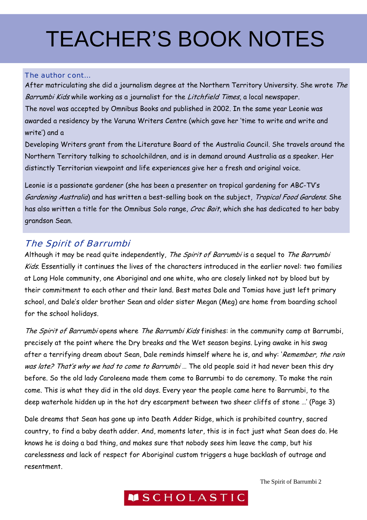#### The author cont...

After matriculating she did a journalism degree at the Northern Territory University. She wrote The Barrumbi Kids while working as a journalist for the Litchfield Times, a local newspaper. The novel was accepted by Omnibus Books and published in 2002. In the same year Leonie was awarded a residency by the Varuna Writers Centre (which gave her 'time to write and write and write') and a

Developing Writers grant from the Literature Board of the Australia Council. She travels around the Northern Territory talking to schoolchildren, and is in demand around Australia as a speaker. Her distinctly Territorian viewpoint and life experiences give her a fresh and original voice.

Leonie is a passionate gardener (she has been a presenter on tropical gardening for ABC-TV's Gardening Australia) and has written a best-selling book on the subject, Tropical Food Gardens. She has also written a title for the Omnibus Solo range, Croc Bait, which she has dedicated to her baby grandson Sean.

#### The Spirit of Barrumbi

Although it may be read quite independently, The Spirit of Barrumbi is a sequel to The Barrumbi Kids. Essentially it continues the lives of the characters introduced in the earlier novel: two families at Long Hole community, one Aboriginal and one white, who are closely linked not by blood but by their commitment to each other and their land. Best mates Dale and Tomias have just left primary school, and Dale's older brother Sean and older sister Megan (Meg) are home from boarding school for the school holidays.

The Spirit of Barrumbi opens where The Barrumbi Kids finishes: in the community camp at Barrumbi, precisely at the point where the Dry breaks and the Wet season begins. Lying awake in his swag after a terrifying dream about Sean, Dale reminds himself where he is, and why: 'Remember, the rain was late? That's why we had to come to Barrumbi ... The old people said it had never been this dry before. So the old lady Caroleena made them come to Barrumbi to do ceremony. To make the rain come. This is what they did in the old days. Every year the people came here to Barrumbi, to the deep waterhole hidden up in the hot dry escarpment between two sheer cliffs of stone …' (Page 3)

Dale dreams that Sean has gone up into Death Adder Ridge, which is prohibited country, sacred country, to find a baby death adder. And, moments later, this is in fact just what Sean does do. He knows he is doing a bad thing, and makes sure that nobody sees him leave the camp, but his carelessness and lack of respect for Aboriginal custom triggers a huge backlash of outrage and resentment.

The Spirit of Barrumbi 2

### **MSCHOLASTIC**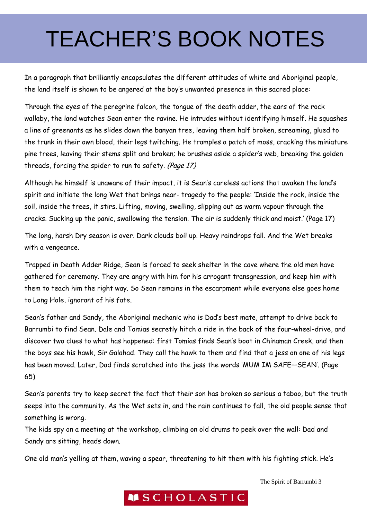In a paragraph that brilliantly encapsulates the different attitudes of white and Aboriginal people, the land itself is shown to be angered at the boy's unwanted presence in this sacred place:

Through the eyes of the peregrine falcon, the tongue of the death adder, the ears of the rock wallaby, the land watches Sean enter the ravine. He intrudes without identifying himself. He squashes a line of greenants as he slides down the banyan tree, leaving them half broken, screaming, glued to the trunk in their own blood, their legs twitching. He tramples a patch of moss, cracking the miniature pine trees, leaving their stems split and broken; he brushes aside a spider's web, breaking the golden threads, forcing the spider to run to safety. (Page 17)

Although he himself is unaware of their impact, it is Sean's careless actions that awaken the land's spirit and initiate the long Wet that brings near- tragedy to the people: 'Inside the rock, inside the soil, inside the trees, it stirs. Lifting, moving, swelling, slipping out as warm vapour through the cracks. Sucking up the panic, swallowing the tension. The air is suddenly thick and moist.' (Page 17)

The long, harsh Dry season is over. Dark clouds boil up. Heavy raindrops fall. And the Wet breaks with a vengeance.

Trapped in Death Adder Ridge, Sean is forced to seek shelter in the cave where the old men have gathered for ceremony. They are angry with him for his arrogant transgression, and keep him with them to teach him the right way. So Sean remains in the escarpment while everyone else goes home to Long Hole, ignorant of his fate.

Sean's father and Sandy, the Aboriginal mechanic who is Dad's best mate, attempt to drive back to Barrumbi to find Sean. Dale and Tomias secretly hitch a ride in the back of the four-wheel-drive, and discover two clues to what has happened: first Tomias finds Sean's boot in Chinaman Creek, and then the boys see his hawk, Sir Galahad. They call the hawk to them and find that a jess on one of his legs has been moved. Later, Dad finds scratched into the jess the words 'MUM IM SAFE—SEAN'. (Page 65)

Sean's parents try to keep secret the fact that their son has broken so serious a taboo, but the truth seeps into the community. As the Wet sets in, and the rain continues to fall, the old people sense that something is wrong.

The kids spy on a meeting at the workshop, climbing on old drums to peek over the wall: Dad and Sandy are sitting, heads down.

One old man's yelling at them, waving a spear, threatening to hit them with his fighting stick. He's

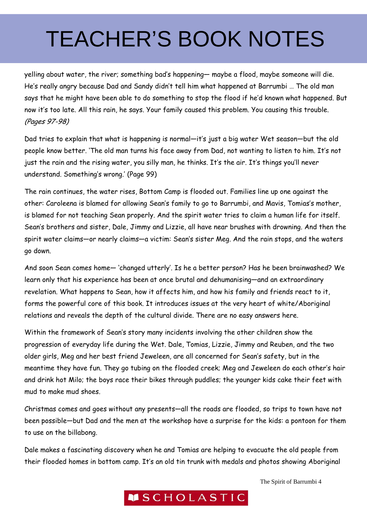yelling about water, the river; something bad's happening— maybe a flood, maybe someone will die. He's really angry because Dad and Sandy didn't tell him what happened at Barrumbi … The old man says that he might have been able to do something to stop the flood if he'd known what happened. But now it's too late. All this rain, he says. Your family caused this problem. You causing this trouble. (Pages 97-98)

Dad tries to explain that what is happening is normal—it's just a big water Wet season—but the old people know better. 'The old man turns his face away from Dad, not wanting to listen to him. It's not just the rain and the rising water, you silly man, he thinks. It's the air. It's things you'll never understand. Something's wrong.' (Page 99)

The rain continues, the water rises, Bottom Camp is flooded out. Families line up one against the other: Caroleena is blamed for allowing Sean's family to go to Barrumbi, and Mavis, Tomias's mother, is blamed for not teaching Sean properly. And the spirit water tries to claim a human life for itself. Sean's brothers and sister, Dale, Jimmy and Lizzie, all have near brushes with drowning. And then the spirit water claims—or nearly claims—a victim: Sean's sister Meg. And the rain stops, and the waters go down.

And soon Sean comes home— 'changed utterly'. Is he a better person? Has he been brainwashed? We learn only that his experience has been at once brutal and dehumanising—and an extraordinary revelation. What happens to Sean, how it affects him, and how his family and friends react to it, forms the powerful core of this book. It introduces issues at the very heart of white/Aboriginal relations and reveals the depth of the cultural divide. There are no easy answers here.

Within the framework of Sean's story many incidents involving the other children show the progression of everyday life during the Wet. Dale, Tomias, Lizzie, Jimmy and Reuben, and the two older girls, Meg and her best friend Jeweleen, are all concerned for Sean's safety, but in the meantime they have fun. They go tubing on the flooded creek; Meg and Jeweleen do each other's hair and drink hot Milo; the boys race their bikes through puddles; the younger kids cake their feet with mud to make mud shoes.

Christmas comes and goes without any presents—all the roads are flooded, so trips to town have not been possible—but Dad and the men at the workshop have a surprise for the kids: a pontoon for them to use on the billabong.

Dale makes a fascinating discovery when he and Tomias are helping to evacuate the old people from their flooded homes in bottom camp. It's an old tin trunk with medals and photos showing Aboriginal

The Spirit of Barrumbi 4

### **MSCHOLASTIC**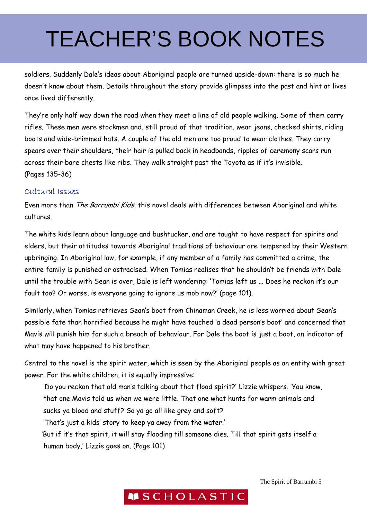soldiers. Suddenly Dale's ideas about Aboriginal people are turned upside-down: there is so much he doesn't know about them. Details throughout the story provide glimpses into the past and hint at lives once lived differently.

They're only half way down the road when they meet a line of old people walking. Some of them carry rifles. These men were stockmen and, still proud of that tradition, wear jeans, checked shirts, riding boots and wide-brimmed hats. A couple of the old men are too proud to wear clothes. They carry spears over their shoulders, their hair is pulled back in headbands, ripples of ceremony scars run across their bare chests like ribs. They walk straight past the Toyota as if it's invisible. (Pages 135-36)

#### Cultural Issues

Even more than The Barrumbi Kids, this novel deals with differences between Aboriginal and white cultures.

The white kids learn about language and bushtucker, and are taught to have respect for spirits and elders, but their attitudes towards Aboriginal traditions of behaviour are tempered by their Western upbringing. In Aboriginal law, for example, if any member of a family has committed a crime, the entire family is punished or ostracised. When Tomias realises that he shouldn't be friends with Dale until the trouble with Sean is over, Dale is left wondering: 'Tomias left us ... Does he reckon it's our fault too? Or worse, is everyone going to ignore us mob now?' (page 101).

Similarly, when Tomias retrieves Sean's boot from Chinaman Creek, he is less worried about Sean's possible fate than horrified because he might have touched 'a dead person's boot' and concerned that Mavis will punish him for such a breach of behaviour. For Dale the boot is just a boot, an indicator of what may have happened to his brother.

Central to the novel is the spirit water, which is seen by the Aboriginal people as an entity with great power. For the white children, it is equally impressive:

'Do you reckon that old man's talking about that flood spirit?' Lizzie whispers. 'You know, that one Mavis told us when we were little. That one what hunts for warm animals and sucks ya blood and stuff? So ya go all like grey and soft?' 'That's just a kids' story to keep ya away from the water.' 'But if it's that spirit, it will stay flooding till someone dies. Till that spirit gets itself a

human body,' Lizzie goes on. (Page 101)

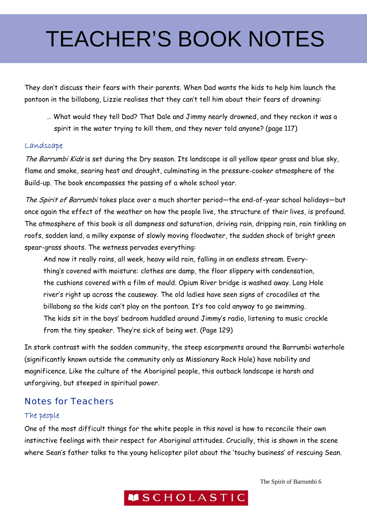They don't discuss their fears with their parents. When Dad wants the kids to help him launch the pontoon in the billabong, Lizzie realises that they can't tell him about their fears of drowning:

… What would they tell Dad? That Dale and Jimmy nearly drowned, and they reckon it was a spirit in the water trying to kill them, and they never told anyone? (page 117)

#### Landscape

The Barrumbi Kids is set during the Dry season. Its landscape is all yellow spear grass and blue sky, flame and smoke, searing heat and drought, culminating in the pressure-cooker atmosphere of the Build-up. The book encompasses the passing of a whole school year.

The Spirit of Barrumbi takes place over a much shorter period—the end-of-year school holidays—but once again the effect of the weather on how the people live, the structure of their lives, is profound. The atmosphere of this book is all dampness and saturation, driving rain, dripping rain, rain tinkling on roofs, sodden land, a milky expanse of slowly moving floodwater, the sudden shock of bright green spear-grass shoots. The wetness pervades everything:

And now it really rains, all week, heavy wild rain, falling in an endless stream. Everything's covered with moisture: clothes are damp, the floor slippery with condensation, the cushions covered with a film of mould. Opium River bridge is washed away. Long Hole river's right up across the causeway. The old ladies have seen signs of crocodiles at the billabong so the kids can't play on the pontoon. It's too cold anyway to go swimming. The kids sit in the boys' bedroom huddled around Jimmy's radio, listening to music crackle from the tiny speaker. They're sick of being wet. (Page 129)

In stark contrast with the sodden community, the steep escarpments around the Barrumbi waterhole (significantly known outside the community only as Missionary Rock Hole) have nobility and magnificence. Like the culture of the Aboriginal people, this outback landscape is harsh and unforgiving, but steeped in spiritual power.

### Notes for Teachers

#### The people

One of the most difficult things for the white people in this novel is how to reconcile their own instinctive feelings with their respect for Aboriginal attitudes. Crucially, this is shown in the scene where Sean's father talks to the young helicopter pilot about the 'touchy business' of rescuing Sean.

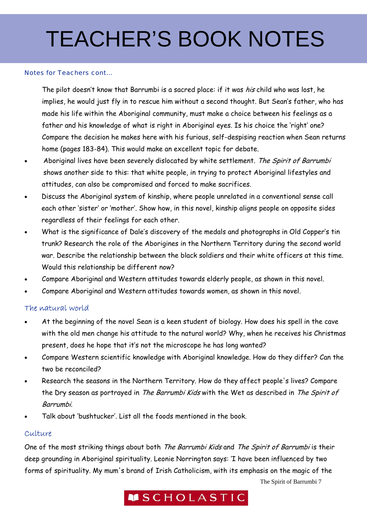#### Notes for Teachers cont...

The pilot doesn't know that Barrumbi is a sacred place: if it was *his* child who was lost, he implies, he would just fly in to rescue him without a second thought. But Sean's father, who has made his life within the Aboriginal community, must make a choice between his feelings as a father and his knowledge of what is right in Aboriginal eyes. Is his choice the 'right' one? Compare the decision he makes here with his furious, self-despising reaction when Sean returns home (pages 183-84). This would make an excellent topic for debate.

- Aboriginal lives have been severely dislocated by white settlement. The Spirit of Barrumbi shows another side to this: that white people, in trying to protect Aboriginal lifestyles and attitudes, can also be compromised and forced to make sacrifices.
- Discuss the Aboriginal system of kinship, where people unrelated in a conventional sense call each other 'sister' or 'mother'. Show how, in this novel, kinship aligns people on opposite sides regardless of their feelings for each other.
- What is the significance of Dale's discovery of the medals and photographs in Old Copper's tin trunk? Research the role of the Aborigines in the Northern Territory during the second world war. Describe the relationship between the black soldiers and their white officers at this time. Would this relationship be different now?
- Compare Aboriginal and Western attitudes towards elderly people, as shown in this novel.
- Compare Aboriginal and Western attitudes towards women, as shown in this novel.

#### The natural world

- At the beginning of the novel Sean is a keen student of biology. How does his spell in the cave with the old men change his attitude to the natural world? Why, when he receives his Christmas present, does he hope that it's not the microscope he has long wanted?
- Compare Western scientific knowledge with Aboriginal knowledge. How do they differ? Can the two be reconciled?
- Research the seasons in the Northern Territory. How do they affect people's lives? Compare the Dry season as portrayed in The Barrumbi Kids with the Wet as described in The Spirit of Barrumbi.
- Talk about 'bushtucker'. List all the foods mentioned in the book.

#### Culture

One of the most striking things about both The Barrumbi Kids and The Spirit of Barrumbi is their deep grounding in Aboriginal spirituality. Leonie Norrington says: 'I have been influenced by two forms of spirituality. My mum's brand of Irish Catholicism, with its emphasis on the magic of the